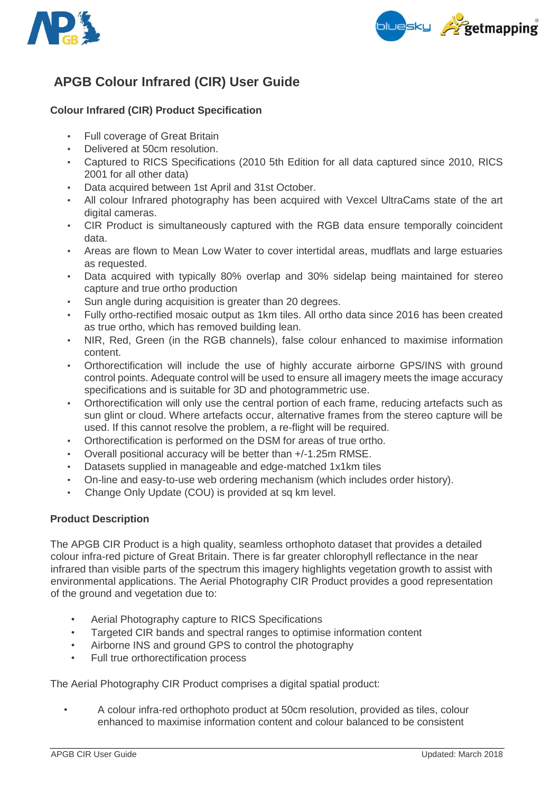



# **APGB Colour Infrared (CIR) User Guide**

## **Colour Infrared (CIR) Product Specification**

- Full coverage of Great Britain
- Delivered at 50cm resolution.
- Captured to RICS Specifications (2010 5th Edition for all data captured since 2010, RICS 2001 for all other data)
- Data acquired between 1st April and 31st October.
- All colour Infrared photography has been acquired with Vexcel UltraCams state of the art digital cameras.
- CIR Product is simultaneously captured with the RGB data ensure temporally coincident data.
- Areas are flown to Mean Low Water to cover intertidal areas, mudflats and large estuaries as requested.
- Data acquired with typically 80% overlap and 30% sidelap being maintained for stereo capture and true ortho production
- Sun angle during acquisition is greater than 20 degrees.
- Fully ortho-rectified mosaic output as 1km tiles. All ortho data since 2016 has been created as true ortho, which has removed building lean.
- NIR, Red, Green (in the RGB channels), false colour enhanced to maximise information content.
- Orthorectification will include the use of highly accurate airborne GPS/INS with ground control points. Adequate control will be used to ensure all imagery meets the image accuracy specifications and is suitable for 3D and photogrammetric use.
- Orthorectification will only use the central portion of each frame, reducing artefacts such as sun glint or cloud. Where artefacts occur, alternative frames from the stereo capture will be used. If this cannot resolve the problem, a re-flight will be required.
- Orthorectification is performed on the DSM for areas of true ortho.
- Overall positional accuracy will be better than +/-1.25m RMSE.
- Datasets supplied in manageable and edge-matched 1x1km tiles
- On-line and easy-to-use web ordering mechanism (which includes order history).
- Change Only Update (COU) is provided at sq km level.

### **Product Description**

The APGB CIR Product is a high quality, seamless orthophoto dataset that provides a detailed colour infra-red picture of Great Britain. There is far greater chlorophyll reflectance in the near infrared than visible parts of the spectrum this imagery highlights vegetation growth to assist with environmental applications. The Aerial Photography CIR Product provides a good representation of the ground and vegetation due to:

- Aerial Photography capture to RICS Specifications
- Targeted CIR bands and spectral ranges to optimise information content
- Airborne INS and ground GPS to control the photography
- Full true orthorectification process

The Aerial Photography CIR Product comprises a digital spatial product:

• A colour infra-red orthophoto product at 50cm resolution, provided as tiles, colour enhanced to maximise information content and colour balanced to be consistent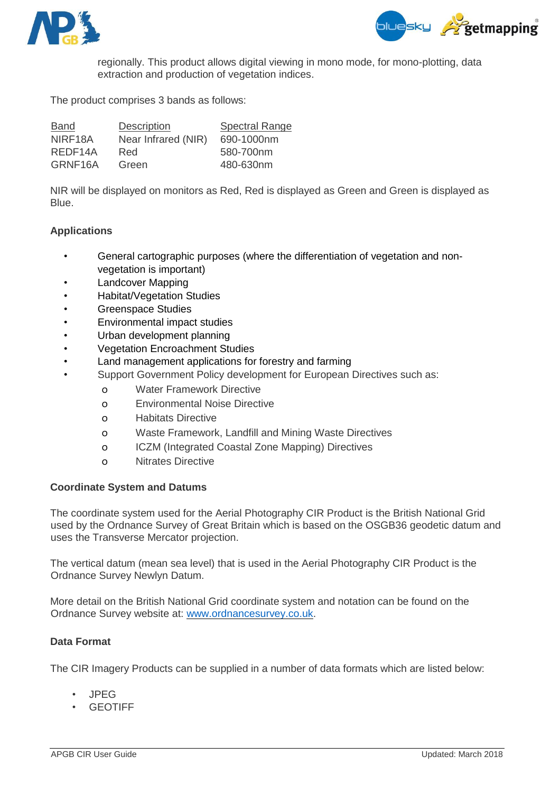



regionally. This product allows digital viewing in mono mode, for mono-plotting, data extraction and production of vegetation indices.

The product comprises 3 bands as follows:

| Band    | <b>Description</b>  | <b>Spectral Range</b> |
|---------|---------------------|-----------------------|
| NIRF18A | Near Infrared (NIR) | 690-1000nm            |
| REDF14A | Red.                | 580-700nm             |
| GRNF16A | Green               | 480-630nm             |

NIR will be displayed on monitors as Red, Red is displayed as Green and Green is displayed as <u>Blue. In the set of the set of the set of the set of the set of the set of the set of the set of the set of the set of the set of the set of the set of the set of the set of the set of the set of the set of the set of the</u>

#### **Applications**

- General cartographic purposes (where the differentiation of vegetation and nonvegetation is important)
- Landcover Mapping
- Habitat/Vegetation Studies
- Greenspace Studies
- Environmental impact studies
- Urban development planning
- Vegetation Encroachment Studies
	- Land management applications for forestry and farming
- Support Government Policy development for European Directives such as:
	- o Water Framework Directive
	- o Environmental Noise Directive
	- o Habitats Directive
	- o Waste Framework, Landfill and Mining Waste Directives
	- o ICZM (Integrated Coastal Zone Mapping) Directives
	- o Nitrates Directive

### **Coordinate System and Datums**

The coordinate system used for the Aerial Photography CIR Product is the British National Grid used by the Ordnance Survey of Great Britain which is based on the OSGB36 geodetic datum and uses the Transverse Mercator projection.

The vertical datum (mean sea level) that is used in the Aerial Photography CIR Product is the Ordnance Survey Newlyn Datum.

More detail on the British National Grid coordinate system and notation can be found on the Ordnance Survey website at: [www.ordnancesurvey.co.uk.](http://www.ordnancesurvey.co.uk/)

### **Data Format**

The CIR Imagery Products can be supplied in a number of data formats which are listed below:

- JPEG
- **GEOTIFF**